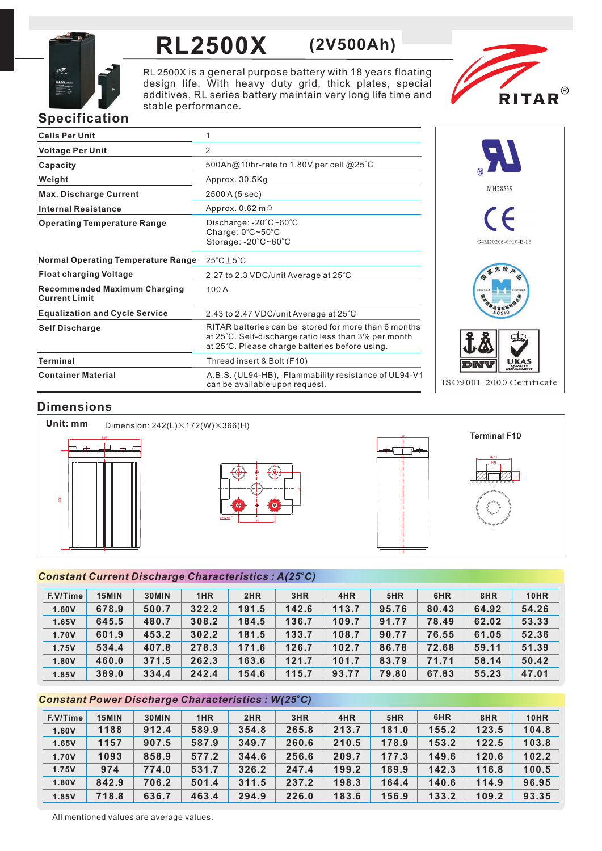

## **RL2500X (2V500Ah)**

RL 2500X is a general purpose battery with 18 years floating design life. With heavy duty grid, thick plates, special additives, RL series battery maintain very long life time and stable performance.



### **Specification**

| <b>Cells Per Unit</b>                                       | 1                                                                                                                                                              |
|-------------------------------------------------------------|----------------------------------------------------------------------------------------------------------------------------------------------------------------|
| <b>Voltage Per Unit</b>                                     | 2                                                                                                                                                              |
| Capacity                                                    | 500Ah@10hr-rate to 1.80V per cell @25°C                                                                                                                        |
| Weight                                                      | Approx. 30.5Kg                                                                                                                                                 |
| <b>Max. Discharge Current</b>                               | 2500 A (5 sec)                                                                                                                                                 |
| <b>Internal Resistance</b>                                  | Approx. $0.62$ m $\Omega$                                                                                                                                      |
| <b>Operating Temperature Range</b>                          | Discharge: $-20^{\circ}$ C $\sim$ 60 $^{\circ}$ C<br>Charge: 0°C~50°C<br>Storage: -20°C~60°C                                                                   |
| <b>Normal Operating Temperature Range</b>                   | $25^{\circ}$ C + $5^{\circ}$ C                                                                                                                                 |
| <b>Float charging Voltage</b>                               | 2.27 to 2.3 VDC/unit Average at 25°C                                                                                                                           |
| <b>Recommended Maximum Charging</b><br><b>Current Limit</b> | 100A                                                                                                                                                           |
| <b>Equalization and Cycle Service</b>                       | 2.43 to 2.47 VDC/unit Average at 25°C                                                                                                                          |
| <b>Self Discharge</b>                                       | RITAR batteries can be stored for more than 6 months<br>at 25°C. Self-discharge ratio less than 3% per month<br>at 25°C. Please charge batteries before using. |
| <b>Terminal</b>                                             | Thread insert & Bolt (F10)                                                                                                                                     |
| <b>Container Material</b>                                   | A.B.S. (UL94-HB), Flammability resistance of UL94-V1<br>can be available upon request.                                                                         |



#### **Dimensions**



#### *<sup>o</sup> Constant Current Discharge Characteristics : A(25 C)*

| F.V/Time | 15MIN | 30MIN | 1HR   | 2HR   | 3HR   | 4HR   | 5HR   | 6HR   | 8HR   | <b>10HR</b> |
|----------|-------|-------|-------|-------|-------|-------|-------|-------|-------|-------------|
| 1.60V    | 678.9 | 500.7 | 322.2 | 191.5 | 142.6 | 113.7 | 95.76 | 80.43 | 64.92 | 54.26       |
| 1.65V    | 645.5 | 480.7 | 308.2 | 184.5 | 136.7 | 109.7 | 91.77 | 78.49 | 62.02 | 53.33       |
| 1.70V    | 601.9 | 453.2 | 302.2 | 181.5 | 133.7 | 108.7 | 90.77 | 76.55 | 61.05 | 52.36       |
| 1.75V    | 534.4 | 407.8 | 278.3 | 171.6 | 126.7 | 102.7 | 86.78 | 72.68 | 59.11 | 51.39       |
| 1.80V    | 460.0 | 371.5 | 262.3 | 163.6 | 121.7 | 101.7 | 83.79 | 71.71 | 58.14 | 50.42       |
| 1.85V    | 389.0 | 334.4 | 242.4 | 154.6 | 115.7 | 93.77 | 79.80 | 67.83 | 55.23 | 47.01       |

#### *<sup>o</sup> Constant Power Discharge Characteristics : W(25 C)*

| F.V/Time | 15MIN | 30MIN | 1HR   | 2HR   | 3HR   | 4HR   | 5HR   | 6HR   | 8HR   | <b>10HR</b> |
|----------|-------|-------|-------|-------|-------|-------|-------|-------|-------|-------------|
| 1.60V    | 1188  | 912.4 | 589.9 | 354.8 | 265.8 | 213.7 | 181.0 | 155.2 | 123.5 | 104.8       |
| 1.65V    | 1157  | 907.5 | 587.9 | 349.7 | 260.6 | 210.5 | 178.9 | 153.2 | 122.5 | 103.8       |
| 1.70V    | 1093  | 858.9 | 577.2 | 344.6 | 256.6 | 209.7 | 177.3 | 149.6 | 120.6 | 102.2       |
| 1.75V    | 974   | 774.0 | 531.7 | 326.2 | 247.4 | 199.2 | 169.9 | 142.3 | 116.8 | 100.5       |
| 1.80V    | 842.9 | 706.2 | 501.4 | 311.5 | 237.2 | 198.3 | 164.4 | 140.6 | 114.9 | 96.95       |
| 1.85V    | 718.8 | 636.7 | 463.4 | 294.9 | 226.0 | 183.6 | 156.9 | 133.2 | 109.2 | 93.35       |

All mentioned values are average values.